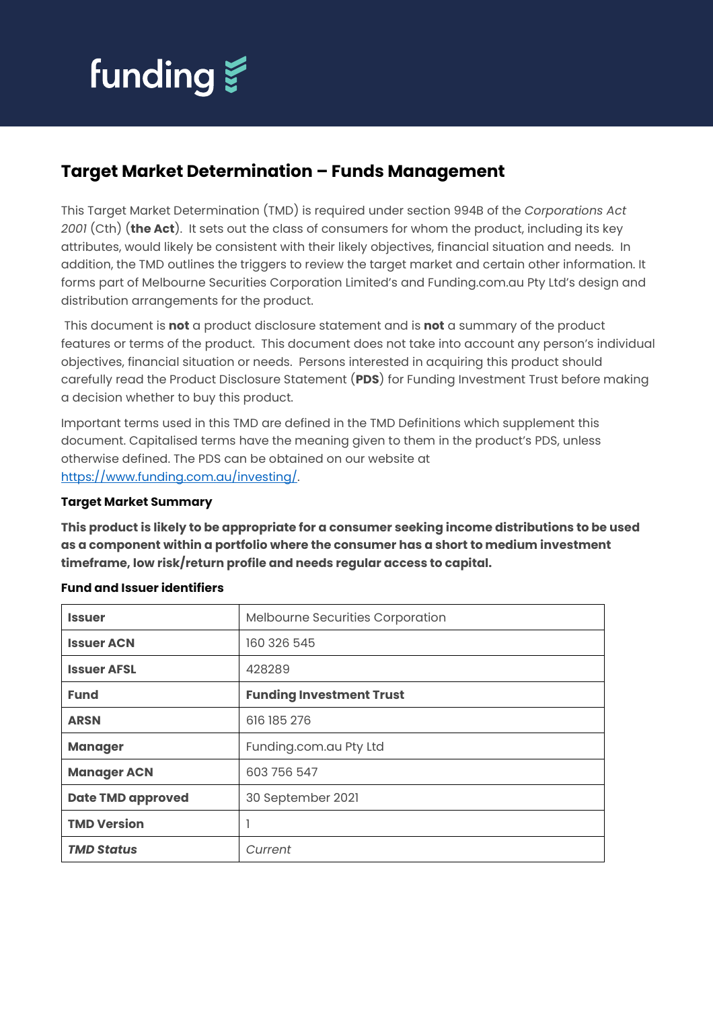

# **Target Market Determination – Funds Management**

This Target Market Determination (TMD) is required under section 994B of the *Corporations Act 2001* (Cth) (**the Act**). It sets out the class of consumers for whom the product, including its key attributes, would likely be consistent with their likely objectives, financial situation and needs. In addition, the TMD outlines the triggers to review the target market and certain other information. It forms part of Melbourne Securities Corporation Limited's and Funding.com.au Pty Ltd's design and distribution arrangements for the product.

This document is **not** a product disclosure statement and is **not** a summary of the product features or terms of the product. This document does not take into account any person's individual objectives, financial situation or needs. Persons interested in acquiring this product should carefully read the Product Disclosure Statement (**PDS**) for Funding Investment Trust before making a decision whether to buy this product.

Important terms used in this TMD are defined in the TMD Definitions which supplement this document. Capitalised terms have the meaning given to them in the product's PDS, unless otherwise defined. The PDS can be obtained on our website at [https://www.funding.com.au/investing/.](https://www.funding.com.au/investing/)

### **Target Market Summary**

**This product is likely to be appropriate for a consumer seeking income distributions to be used as a component within a portfolio where the consumer has a short to medium investment timeframe, low risk/return profile and needs regular access to capital.**

| <b>Issuer</b>            | Melbourne Securities Corporation |
|--------------------------|----------------------------------|
| <b>Issuer ACN</b>        | 160 326 545                      |
| <b>Issuer AFSL</b>       | 428289                           |
| <b>Fund</b>              | <b>Funding Investment Trust</b>  |
| <b>ARSN</b>              | 616 185 276                      |
| <b>Manager</b>           | Funding.com.au Pty Ltd           |
| <b>Manager ACN</b>       | 603 756 547                      |
| <b>Date TMD approved</b> | 30 September 2021                |
| <b>TMD Version</b>       |                                  |
| <b>TMD Status</b>        | Current                          |

#### **Fund and Issuer identifiers**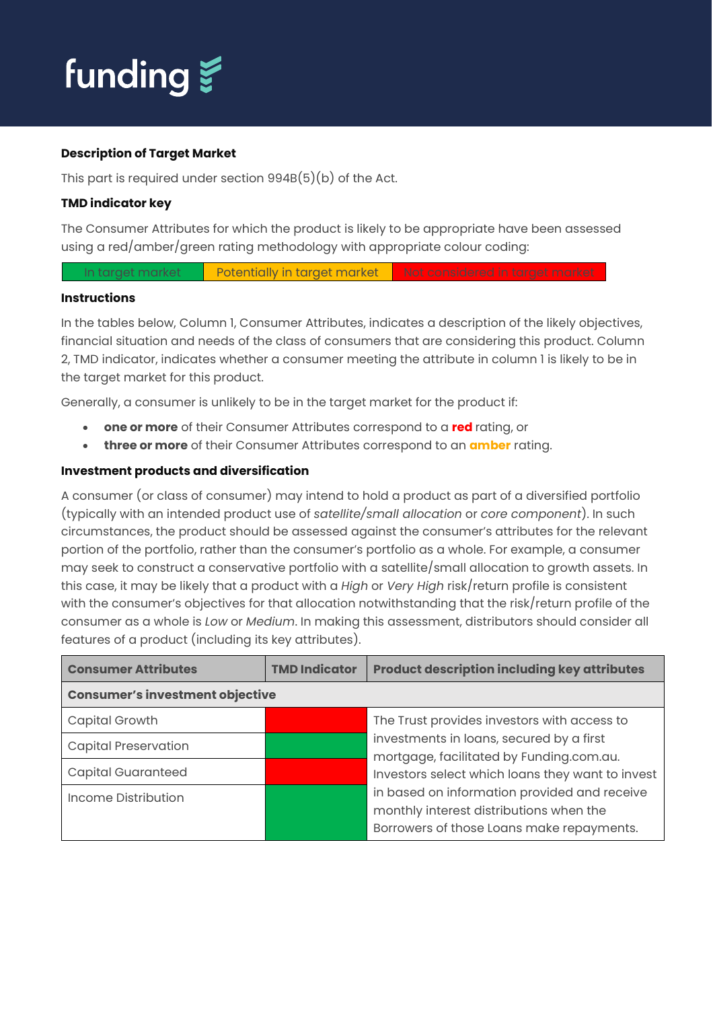

#### **Description of Target Market**

This part is required under section 994B(5)(b) of the Act.

# **TMD indicator key**

The Consumer Attributes for which the product is likely to be appropriate have been assessed using a red/amber/green rating methodology with appropriate colour coding:

In target market **Potentially in target market** Not considered in target market

#### **Instructions**

In the tables below, Column 1, Consumer Attributes, indicates a description of the likely objectives, financial situation and needs of the class of consumers that are considering this product. Column 2, TMD indicator, indicates whether a consumer meeting the attribute in column 1 is likely to be in the target market for this product.

Generally, a consumer is unlikely to be in the target market for the product if:

- **one or more** of their Consumer Attributes correspond to a **red** rating, or
- **three or more** of their Consumer Attributes correspond to an **amber** rating.

# **Investment products and diversification**

A consumer (or class of consumer) may intend to hold a product as part of a diversified portfolio (typically with an intended product use of *satellite/small allocation* or *core component*). In such circumstances, the product should be assessed against the consumer's attributes for the relevant portion of the portfolio, rather than the consumer's portfolio as a whole. For example, a consumer may seek to construct a conservative portfolio with a satellite/small allocation to growth assets. In this case, it may be likely that a product with a *High* or *Very High* risk/return profile is consistent with the consumer's objectives for that allocation notwithstanding that the risk/return profile of the consumer as a whole is *Low* or *Medium*. In making this assessment, distributors should consider all features of a product (including its key attributes).

| <b>Consumer Attributes</b>             | <b>TMD Indicator</b> | <b>Product description including key attributes</b>                                                                                  |
|----------------------------------------|----------------------|--------------------------------------------------------------------------------------------------------------------------------------|
| <b>Consumer's investment objective</b> |                      |                                                                                                                                      |
| Capital Growth                         |                      | The Trust provides investors with access to                                                                                          |
| <b>Capital Preservation</b>            |                      | investments in loans, secured by a first                                                                                             |
| <b>Capital Guaranteed</b>              |                      | mortgage, facilitated by Funding.com.au.<br>Investors select which loans they want to invest                                         |
| Income Distribution                    |                      | in based on information provided and receive<br>monthly interest distributions when the<br>Borrowers of those Loans make repayments. |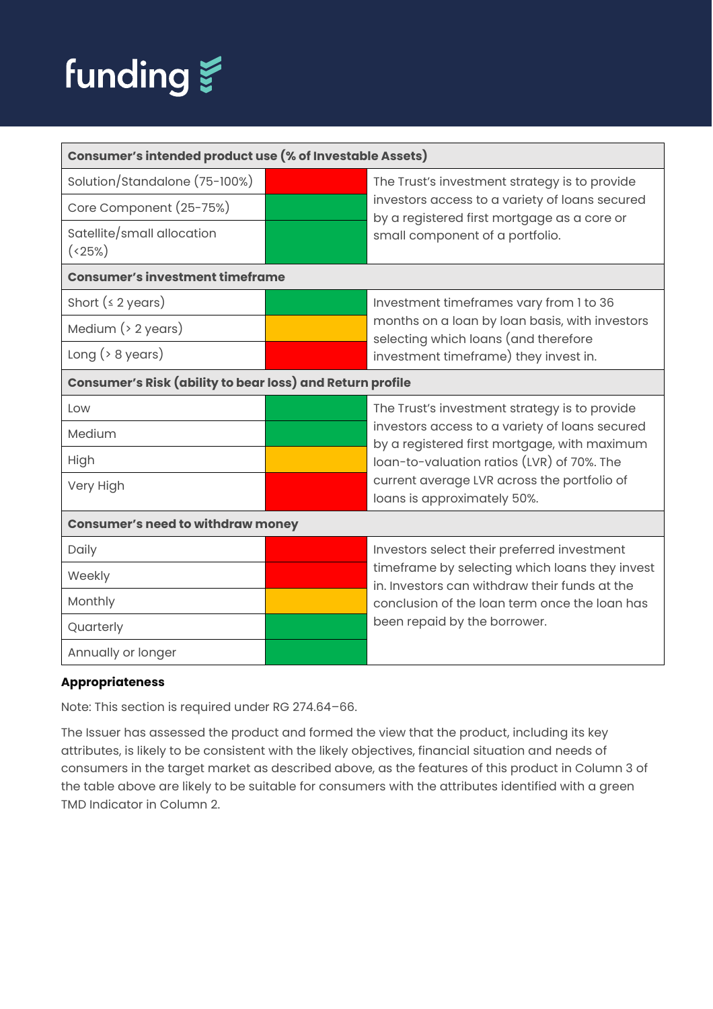

| Consumer's intended product use (% of Investable Assets)  |  |                                                                                                 |
|-----------------------------------------------------------|--|-------------------------------------------------------------------------------------------------|
| Solution/Standalone (75-100%)                             |  | The Trust's investment strategy is to provide                                                   |
| Core Component (25-75%)                                   |  | investors access to a variety of loans secured<br>by a registered first mortgage as a core or   |
| Satellite/small allocation<br>(25%)                       |  | small component of a portfolio.                                                                 |
| <b>Consumer's investment timeframe</b>                    |  |                                                                                                 |
| Short $(s 2 \text{ years})$                               |  | Investment timeframes vary from 1 to 36                                                         |
| Medium $($ > 2 years)                                     |  | months on a loan by loan basis, with investors<br>selecting which loans (and therefore          |
| Long $($ $>$ 8 years)                                     |  | investment timeframe) they invest in.                                                           |
| Consumer's Risk (ability to bear loss) and Return profile |  |                                                                                                 |
| Low                                                       |  | The Trust's investment strategy is to provide                                                   |
| Medium                                                    |  | investors access to a variety of loans secured<br>by a registered first mortgage, with maximum  |
| High                                                      |  | loan-to-valuation ratios (LVR) of 70%. The                                                      |
| Very High                                                 |  | current average LVR across the portfolio of<br>loans is approximately 50%.                      |
| <b>Consumer's need to withdraw money</b>                  |  |                                                                                                 |
| Daily                                                     |  | Investors select their preferred investment                                                     |
| Weekly                                                    |  | timeframe by selecting which loans they invest<br>in. Investors can withdraw their funds at the |
| Monthly                                                   |  | conclusion of the loan term once the loan has                                                   |
| Quarterly                                                 |  | been repaid by the borrower.                                                                    |
| Annually or longer                                        |  |                                                                                                 |

# **Appropriateness**

Note: This section is required under RG 274.64–66.

The Issuer has assessed the product and formed the view that the product, including its key attributes, is likely to be consistent with the likely objectives, financial situation and needs of consumers in the target market as described above, as the features of this product in Column 3 of the table above are likely to be suitable for consumers with the attributes identified with a green TMD Indicator in Column 2.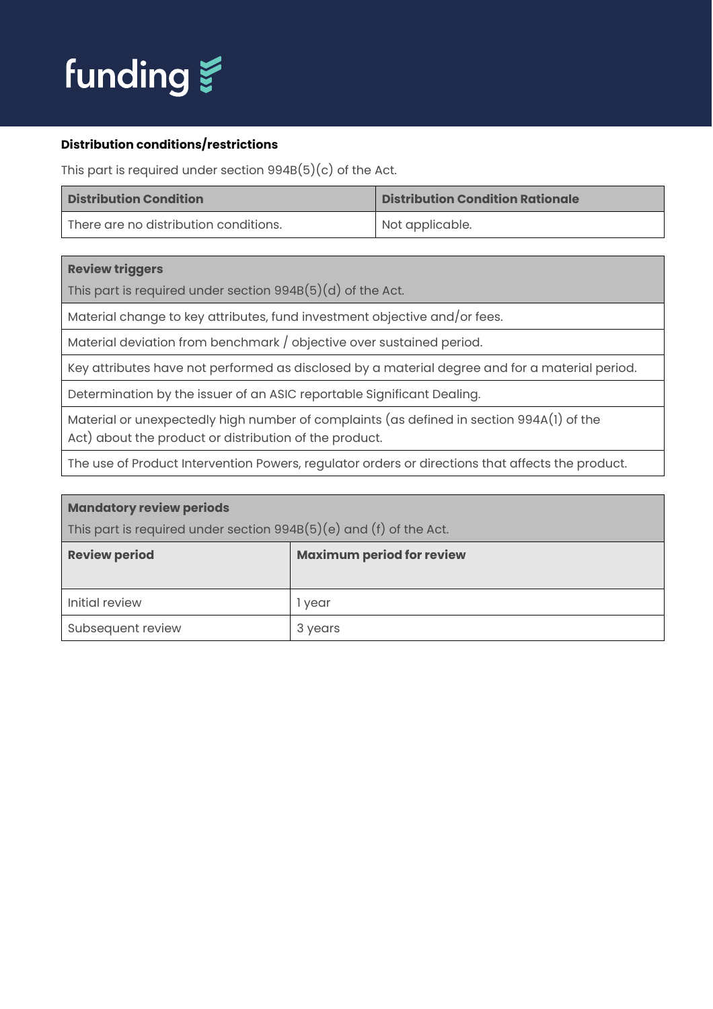

# **Distribution conditions/restrictions**

This part is required under section  $994B(5)(c)$  of the Act.

| <b>Distribution Condition</b>         | <b>Distribution Condition Rationale</b> |
|---------------------------------------|-----------------------------------------|
| There are no distribution conditions. | Not applicable.                         |

#### **Review triggers**

This part is required under section 994B(5)(d) of the Act.

Material change to key attributes, fund investment objective and/or fees.

Material deviation from benchmark / objective over sustained period.

Key attributes have not performed as disclosed by a material degree and for a material period.

Determination by the issuer of an ASIC reportable Significant Dealing.

Material or unexpectedly high number of complaints (as defined in section 994A(1) of the Act) about the product or distribution of the product.

The use of Product Intervention Powers, regulator orders or directions that affects the product.

| <b>Mandatory review periods</b>                                      |                                  |  |
|----------------------------------------------------------------------|----------------------------------|--|
| This part is required under section $994B(5)(e)$ and (f) of the Act. |                                  |  |
| <b>Review period</b>                                                 | <b>Maximum period for review</b> |  |
|                                                                      |                                  |  |
| Initial review                                                       | l vear                           |  |
| Subsequent review                                                    | 3 years                          |  |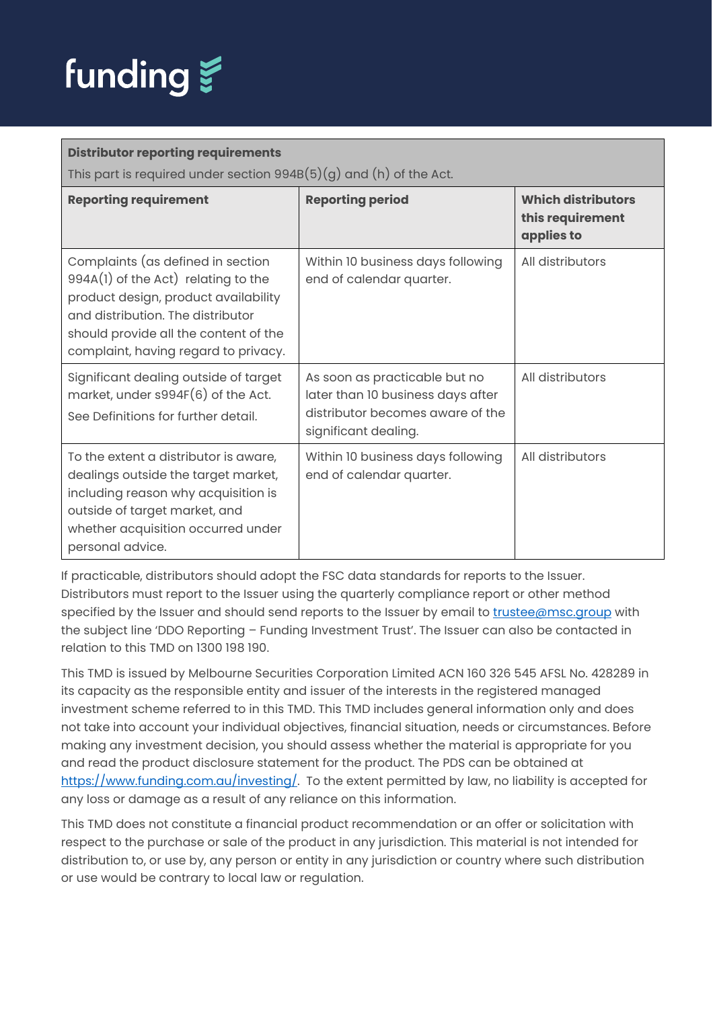

#### **Distributor reporting requirements** This part is required under section  $994B(5)(g)$  and (h) of the Act. **Reporting requirement Reporting period Which distributors this requirement applies to** Complaints (as defined in section 994A(1) of the Act) relating to the product design, product availability and distribution. The distributor should provide all the content of the complaint, having regard to privacy. Within 10 business days following end of calendar quarter. All distributors Significant dealing outside of target market, under s994F(6) of the Act. See Definitions for further detail. As soon as practicable but no later than 10 business days after distributor becomes aware of the significant dealing. All distributors To the extent a distributor is aware, dealings outside the target market, including reason why acquisition is outside of target market, and whether acquisition occurred under personal advice. Within 10 business days following end of calendar quarter. All distributors

If practicable, distributors should adopt the FSC data standards for reports to the Issuer. Distributors must report to the Issuer using the quarterly compliance report or other method specified by the Issuer and should send reports to the Issuer by email to [trustee@msc.group](mailto:trustee@msc.group) with the subject line 'DDO Reporting – Funding Investment Trust'. The Issuer can also be contacted in relation to this TMD on 1300 198 190.

This TMD is issued by Melbourne Securities Corporation Limited ACN 160 326 545 AFSL No. 428289 in its capacity as the responsible entity and issuer of the interests in the registered managed investment scheme referred to in this TMD. This TMD includes general information only and does not take into account your individual objectives, financial situation, needs or circumstances. Before making any investment decision, you should assess whether the material is appropriate for you and read the product disclosure statement for the product. The PDS can be obtained at [https://www.funding.com.au/investing/.](https://www.funding.com.au/investing/) To the extent permitted by law, no liability is accepted for any loss or damage as a result of any reliance on this information.

This TMD does not constitute a financial product recommendation or an offer or solicitation with respect to the purchase or sale of the product in any jurisdiction. This material is not intended for distribution to, or use by, any person or entity in any jurisdiction or country where such distribution or use would be contrary to local law or regulation.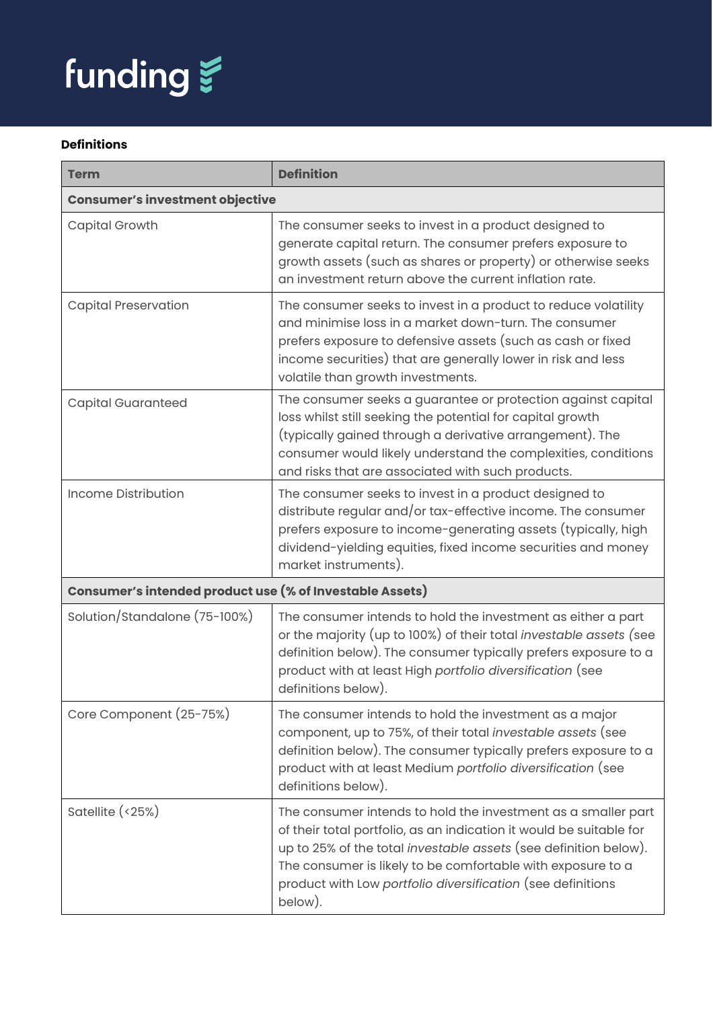

# **Definitions**

| <b>Term</b>                                              | <b>Definition</b>                                                                                                                                                                                                                                                                                                                                        |
|----------------------------------------------------------|----------------------------------------------------------------------------------------------------------------------------------------------------------------------------------------------------------------------------------------------------------------------------------------------------------------------------------------------------------|
| <b>Consumer's investment objective</b>                   |                                                                                                                                                                                                                                                                                                                                                          |
| <b>Capital Growth</b>                                    | The consumer seeks to invest in a product designed to<br>generate capital return. The consumer prefers exposure to<br>growth assets (such as shares or property) or otherwise seeks<br>an investment return above the current inflation rate.                                                                                                            |
| <b>Capital Preservation</b>                              | The consumer seeks to invest in a product to reduce volatility<br>and minimise loss in a market down-turn. The consumer<br>prefers exposure to defensive assets (such as cash or fixed<br>income securities) that are generally lower in risk and less<br>volatile than growth investments.                                                              |
| <b>Capital Guaranteed</b>                                | The consumer seeks a guarantee or protection against capital<br>loss whilst still seeking the potential for capital growth<br>(typically gained through a derivative arrangement). The<br>consumer would likely understand the complexities, conditions<br>and risks that are associated with such products.                                             |
| Income Distribution                                      | The consumer seeks to invest in a product designed to<br>distribute regular and/or tax-effective income. The consumer<br>prefers exposure to income-generating assets (typically, high<br>dividend-yielding equities, fixed income securities and money<br>market instruments).                                                                          |
| Consumer's intended product use (% of Investable Assets) |                                                                                                                                                                                                                                                                                                                                                          |
| Solution/Standalone (75-100%)                            | The consumer intends to hold the investment as either a part<br>or the majority (up to 100%) of their total investable assets (see<br>definition below). The consumer typically prefers exposure to a<br>product with at least High portfolio diversification (see<br>definitions below).                                                                |
| Core Component (25-75%)                                  | The consumer intends to hold the investment as a major<br>component, up to 75%, of their total investable assets (see<br>definition below). The consumer typically prefers exposure to a<br>product with at least Medium portfolio diversification (see<br>definitions below).                                                                           |
| Satellite (<25%)                                         | The consumer intends to hold the investment as a smaller part<br>of their total portfolio, as an indication it would be suitable for<br>up to 25% of the total <i>investable assets</i> (see definition below).<br>The consumer is likely to be comfortable with exposure to a<br>product with Low portfolio diversification (see definitions<br>below). |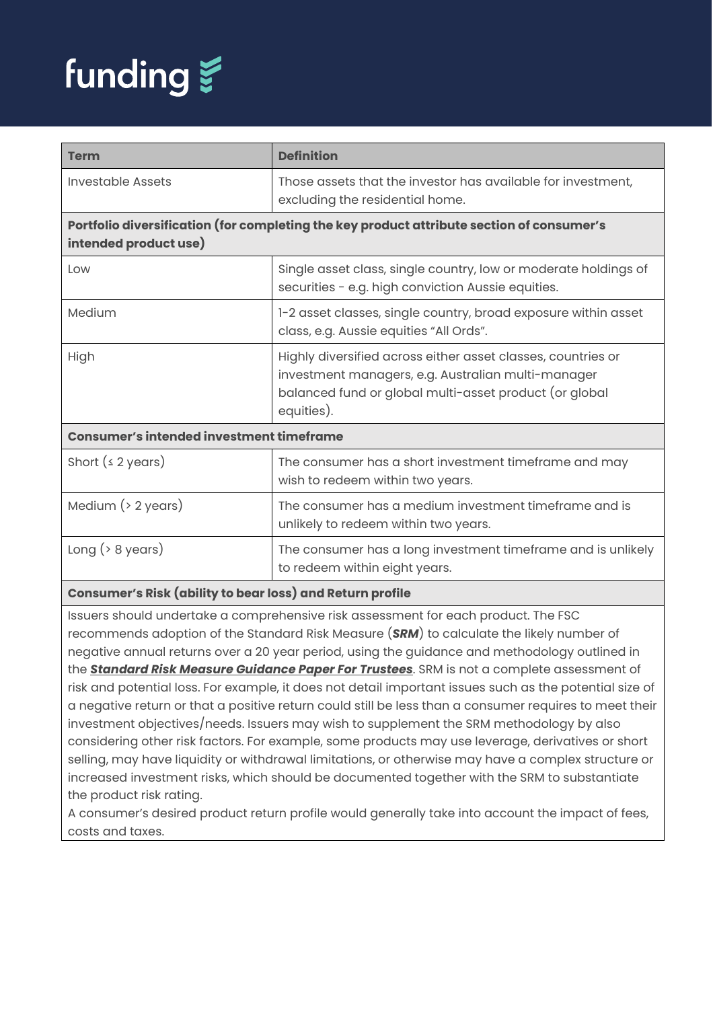

| <b>Term</b>                                                                                                        | <b>Definition</b>                                                                                                                                                                          |  |
|--------------------------------------------------------------------------------------------------------------------|--------------------------------------------------------------------------------------------------------------------------------------------------------------------------------------------|--|
| Investable Assets                                                                                                  | Those assets that the investor has available for investment,<br>excluding the residential home.                                                                                            |  |
| Portfolio diversification (for completing the key product attribute section of consumer's<br>intended product use) |                                                                                                                                                                                            |  |
| Low                                                                                                                | Single asset class, single country, low or moderate holdings of<br>securities - e.g. high conviction Aussie equities.                                                                      |  |
| Medium                                                                                                             | 1-2 asset classes, single country, broad exposure within asset<br>class, e.g. Aussie equities "All Ords".                                                                                  |  |
| High                                                                                                               | Highly diversified across either asset classes, countries or<br>investment managers, e.g. Australian multi-manager<br>balanced fund or global multi-asset product (or global<br>equities). |  |
| <b>Consumer's intended investment timeframe</b>                                                                    |                                                                                                                                                                                            |  |
| Short $(4 2 \text{ years})$                                                                                        | The consumer has a short investment timeframe and may<br>wish to redeem within two years.                                                                                                  |  |
| Medium $($ > 2 years)                                                                                              | The consumer has a medium investment timeframe and is<br>unlikely to redeem within two years.                                                                                              |  |
| Long $($ $>$ 8 years)                                                                                              | The consumer has a long investment timeframe and is unlikely<br>to redeem within eight years.                                                                                              |  |
| Consumer's Risk (ability to bear loss) and Return profile                                                          |                                                                                                                                                                                            |  |

Issuers should undertake a comprehensive risk assessment for each product. The FSC recommends adoption of the Standard Risk Measure (*SRM*) to calculate the likely number of negative annual returns over a 20 year period, using the guidance and methodology outlined in the *[Standard Risk Measure Guidance Paper For Trustees](https://protect-eu.mimecast.com/s/pqPaCwVNmtGRQpvMFVpVgu?domain=urldefense.com)*. SRM is not a complete assessment of risk and potential loss. For example, it does not detail important issues such as the potential size of a negative return or that a positive return could still be less than a consumer requires to meet their investment objectives/needs. Issuers may wish to supplement the SRM methodology by also considering other risk factors. For example, some products may use leverage, derivatives or short selling, may have liquidity or withdrawal limitations, or otherwise may have a complex structure or increased investment risks, which should be documented together with the SRM to substantiate the product risk rating.

A consumer's desired product return profile would generally take into account the impact of fees, costs and taxes.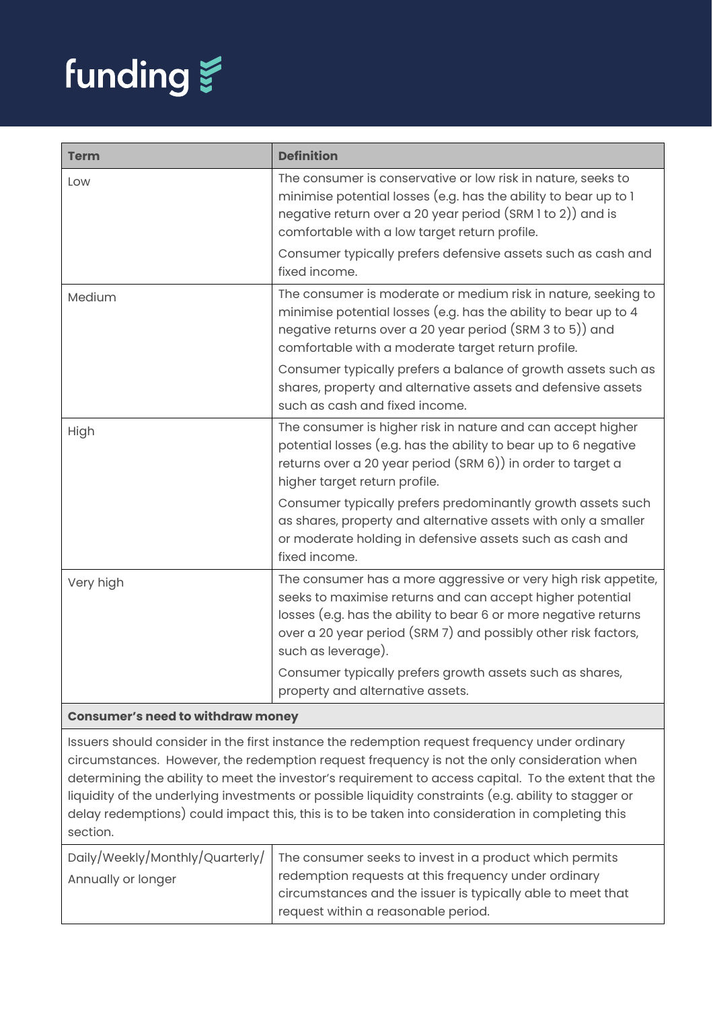

| <b>Term</b>                                                                                                                                                                                 | <b>Definition</b>                                                                                                                                                                                                                                                                      |
|---------------------------------------------------------------------------------------------------------------------------------------------------------------------------------------------|----------------------------------------------------------------------------------------------------------------------------------------------------------------------------------------------------------------------------------------------------------------------------------------|
| Low                                                                                                                                                                                         | The consumer is conservative or low risk in nature, seeks to<br>minimise potential losses (e.g. has the ability to bear up to 1<br>negative return over a 20 year period (SRM 1 to 2)) and is<br>comfortable with a low target return profile.                                         |
|                                                                                                                                                                                             | Consumer typically prefers defensive assets such as cash and<br>fixed income.                                                                                                                                                                                                          |
| Medium                                                                                                                                                                                      | The consumer is moderate or medium risk in nature, seeking to<br>minimise potential losses (e.g. has the ability to bear up to 4<br>negative returns over a 20 year period (SRM 3 to 5)) and<br>comfortable with a moderate target return profile.                                     |
|                                                                                                                                                                                             | Consumer typically prefers a balance of growth assets such as<br>shares, property and alternative assets and defensive assets<br>such as cash and fixed income.                                                                                                                        |
| High                                                                                                                                                                                        | The consumer is higher risk in nature and can accept higher<br>potential losses (e.g. has the ability to bear up to 6 negative<br>returns over a 20 year period (SRM 6)) in order to target a<br>higher target return profile.                                                         |
|                                                                                                                                                                                             | Consumer typically prefers predominantly growth assets such<br>as shares, property and alternative assets with only a smaller<br>or moderate holding in defensive assets such as cash and<br>fixed income.                                                                             |
| Very high                                                                                                                                                                                   | The consumer has a more aggressive or very high risk appetite,<br>seeks to maximise returns and can accept higher potential<br>losses (e.g. has the ability to bear 6 or more negative returns<br>over a 20 year period (SRM 7) and possibly other risk factors,<br>such as leverage). |
|                                                                                                                                                                                             | Consumer typically prefers growth assets such as shares,<br>property and alternative assets.                                                                                                                                                                                           |
| <b>Consumer's need to withdraw money</b>                                                                                                                                                    |                                                                                                                                                                                                                                                                                        |
| Issuers should consider in the first instance the redemption request frequency under ordinary<br>circumstances. However the redemption request frequency is not the only consideration when |                                                                                                                                                                                                                                                                                        |

ances. However, the redemption request frequency is not the only consideration when determining the ability to meet the investor's requirement to access capital. To the extent that the liquidity of the underlying investments or possible liquidity constraints (e.g. ability to stagger or delay redemptions) could impact this, this is to be taken into consideration in completing this section.

|                    | Daily/Weekly/Monthly/Quarterly/   The consumer seeks to invest in a product which permits |
|--------------------|-------------------------------------------------------------------------------------------|
| Annually or longer | redemption requests at this frequency under ordinary                                      |
|                    | circumstances and the issuer is typically able to meet that                               |
|                    | request within a reasonable period.                                                       |